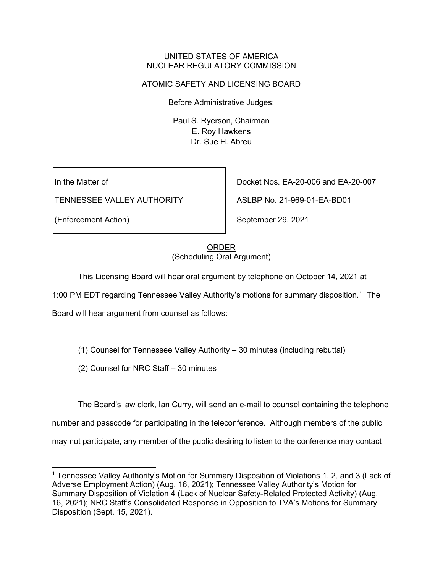#### UNITED STATES OF AMERICA NUCLEAR REGULATORY COMMISSION

## ATOMIC SAFETY AND LICENSING BOARD

Before Administrative Judges:

Paul S. Ryerson, Chairman E. Roy Hawkens Dr. Sue H. Abreu

In the Matter of

TENNESSEE VALLEY AUTHORITY

(Enforcement Action)

Docket Nos. EA-20-006 and EA-20-007

ASLBP No. 21-969-01-EA-BD01

September 29, 2021

### ORDER (Scheduling Oral Argument)

This Licensing Board will hear oral argument by telephone on October 14, 2021 at

[1](#page-0-0):00 PM EDT regarding Tennessee Valley Authority's motions for summary disposition.<sup>1</sup> The

Board will hear argument from counsel as follows:

(1) Counsel for Tennessee Valley Authority – 30 minutes (including rebuttal)

(2) Counsel for NRC Staff – 30 minutes

The Board's law clerk, Ian Curry, will send an e-mail to counsel containing the telephone

number and passcode for participating in the teleconference. Although members of the public

may not participate, any member of the public desiring to listen to the conference may contact

<span id="page-0-0"></span><sup>&</sup>lt;sup>1</sup> Tennessee Valley Authority's Motion for Summary Disposition of Violations 1, 2, and 3 (Lack of Adverse Employment Action) (Aug. 16, 2021); Tennessee Valley Authority's Motion for Summary Disposition of Violation 4 (Lack of Nuclear Safety-Related Protected Activity) (Aug. 16, 2021); NRC Staff's Consolidated Response in Opposition to TVA's Motions for Summary Disposition (Sept. 15, 2021).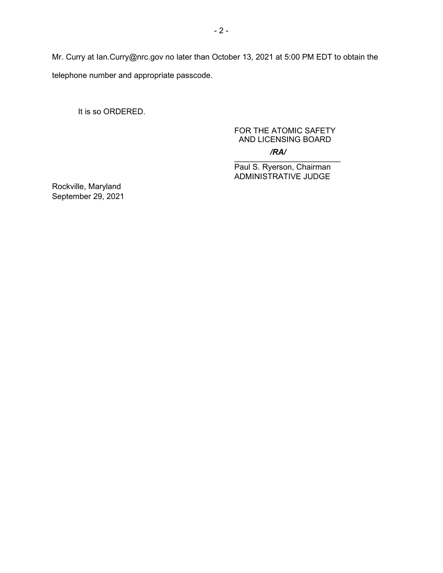Mr. Curry at Ian.Curry@nrc.gov no later than October 13, 2021 at 5:00 PM EDT to obtain the telephone number and appropriate passcode.

It is so ORDERED.

## FOR THE ATOMIC SAFETY AND LICENSING BOARD */RA/*

 $\frac{1}{2}$  ,  $\frac{1}{2}$  ,  $\frac{1}{2}$  ,  $\frac{1}{2}$  ,  $\frac{1}{2}$  ,  $\frac{1}{2}$  ,  $\frac{1}{2}$  ,  $\frac{1}{2}$  ,  $\frac{1}{2}$  ,  $\frac{1}{2}$  ,  $\frac{1}{2}$  ,  $\frac{1}{2}$  ,  $\frac{1}{2}$  ,  $\frac{1}{2}$  ,  $\frac{1}{2}$  ,  $\frac{1}{2}$  ,  $\frac{1}{2}$  ,  $\frac{1}{2}$  ,  $\frac{1$ Paul S. Ryerson, Chairman ADMINISTRATIVE JUDGE

Rockville, Maryland September 29, 2021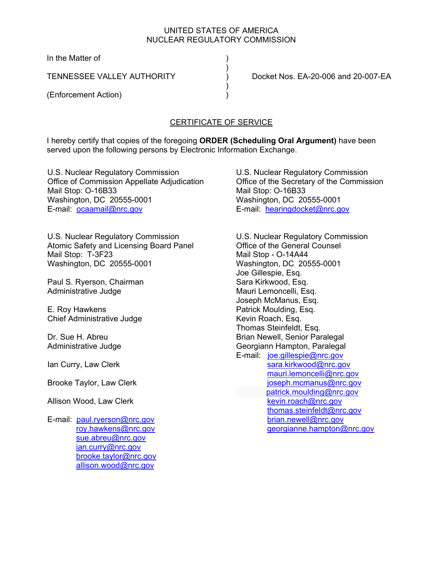### UNITED STATES OF AMERICA NUCLEAR REGULATORY COMMISSION

In the Matter of

 $)$ 

 $)$ 

(Enforcement Action) )

TENNESSEE VALLEY AUTHORITY ) Docket Nos. EA-20-006 and 20-007-EA

# CERTIFICATE OF SERVICE

I hereby certify that copies of the foregoing **ORDER (Scheduling Oral Argument)** have been served upon the following persons by Electronic Information Exchange.

U.S. Nuclear Regulatory Commission Office of Commission Appellate Adjudication Mail Stop: O-16B33 Washington, DC 20555-0001 E-mail: ocaamail@nrc.gov

U.S. Nuclear Regulatory Commission Atomic Safety and Licensing Board Panel Mail Stop: T-3F23 Washington, DC 20555-0001

Paul S. Ryerson, Chairman Administrative Judge

E. Roy Hawkens Chief Administrative Judge

Dr. Sue H. Abreu Administrative Judge

Ian Curry, Law Clerk

Brooke Taylor, Law Clerk

Allison Wood, Law Clerk

E-mail: paul.ryerson@nrc.gov roy.hawkens@nrc.gov sue.abreu@nrc.gov ian.curry@nrc.gov brooke.taylor@nrc.gov allison.wood@nrc.gov

U.S. Nuclear Regulatory Commission Office of the Secretary of the Commission Mail Stop: O-16B33 Washington, DC 20555-0001 E-mail: hearingdocket@nrc.gov

U.S. Nuclear Regulatory Commission Office of the General Counsel Mail Stop - O-14A44 Washington, DC 20555-0001 Joe Gillespie, Esq. Sara Kirkwood, Esq. Mauri Lemoncelli, Esq. Joseph McManus, Esq. Patrick Moulding, Esq. Kevin Roach, Esq. Thomas Steinfeldt, Esq. Brian Newell, Senior Paralegal Georgiann Hampton, Paralegal E-mail: joe.gillespie@nrc.gov sara.kirkwood@nrc.gov mauri.lemoncelli@nrc.gov joseph.mcmanus@nrc.gov patrick.moulding@nrc.gov kevin.roach@nrc.gov thomas.steinfeldt@nrc.gov brian.newell@nrc.gov georgianne.hampton@nrc.gov